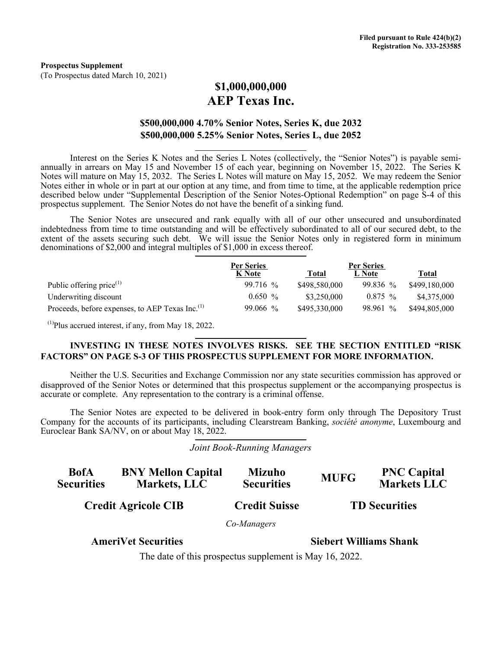# **\$1,000,000,000 AEP Texas Inc.**

## **\$500,000,000 4.70% Senior Notes, Series K, due 2032 \$500,000,000 5.25% Senior Notes, Series L, due 2052**

Interest on the Series K Notes and the Series L Notes (collectively, the "Senior Notes") is payable semiannually in arrears on May 15 and November 15 of each year, beginning on November 15, 2022. The Series K Notes will mature on May 15, 2032. The Series L Notes will mature on May 15, 2052. We may redeem the Senior Notes either in whole or in part at our option at any time, and from time to time, at the applicable redemption price described below under "Supplemental Description of the Senior Notes-Optional Redemption" on page S-4 of this prospectus supplement. The Senior Notes do not have the benefit of a sinking fund.

The Senior Notes are unsecured and rank equally with all of our other unsecured and unsubordinated indebtedness from time to time outstanding and will be effectively subordinated to all of our secured debt, to the extent of the assets securing such debt. We will issue the Senior Notes only in registered form in minimum denominations of \$2,000 and integral multiples of \$1,000 in excess thereof.

|                                                             | <b>Per Series</b> |               | <b>Per Series</b> |               |
|-------------------------------------------------------------|-------------------|---------------|-------------------|---------------|
|                                                             | K Note            | <b>Total</b>  | L Note            | Total         |
| Public offering price $(1)$                                 | $99.716\%$        | \$498,580,000 | $99.836\%$        | \$499,180,000 |
| Underwriting discount                                       | $0.650\%$         | \$3,250,000   | $0.875\%$         | \$4,375,000   |
| Proceeds, before expenses, to AEP Texas Inc. <sup>(1)</sup> | $99.066\%$        | \$495,330,000 | 98.961 %          | \$494,805,000 |

 $(1)$ Plus accrued interest, if any, from May 18, 2022.

## **INVESTING IN THESE NOTES INVOLVES RISKS. SEE THE SECTION ENTITLED "RISK FACTORS" ON PAGE S-3 OF THIS PROSPECTUS SUPPLEMENT FOR MORE INFORMATION.**

Neither the U.S. Securities and Exchange Commission nor any state securities commission has approved or disapproved of the Senior Notes or determined that this prospectus supplement or the accompanying prospectus is accurate or complete. Any representation to the contrary is a criminal offense.

The Senior Notes are expected to be delivered in book-entry form only through The Depository Trust Company for the accounts of its participants, including Clearstream Banking, *société anonyme*, Luxembourg and Euroclear Bank SA/NV, on or about May 18, 2022.

#### *Joint Book-Running Managers*

| <b>BofA</b><br><b>Securities</b> | <b>BNY Mellon Capital</b><br>Markets, LLC               | <b>Mizuho</b><br><b>Securities</b> | <b>MUFG</b>                   | <b>PNC Capital</b><br><b>Markets LLC</b> |
|----------------------------------|---------------------------------------------------------|------------------------------------|-------------------------------|------------------------------------------|
| <b>Credit Agricole CIB</b>       |                                                         | <b>Credit Suisse</b>               | <b>TD</b> Securities          |                                          |
|                                  |                                                         | Co-Managers                        |                               |                                          |
|                                  | <b>AmeriVet Securities</b>                              |                                    | <b>Siebert Williams Shank</b> |                                          |
|                                  | The date of this prospectus supplement is May 16, 2022. |                                    |                               |                                          |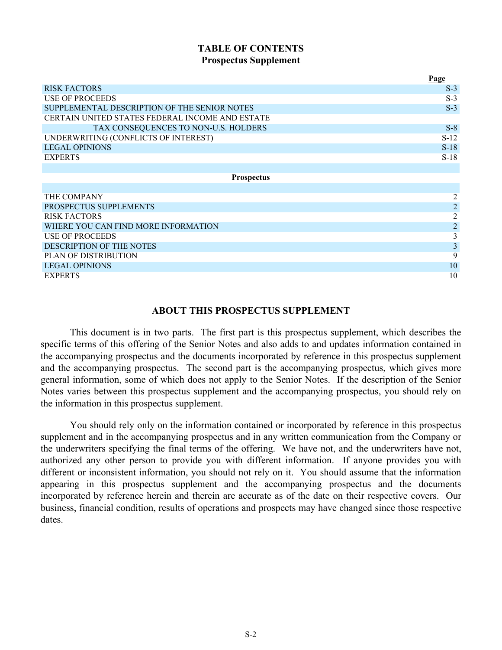## **TABLE OF CONTENTS Prospectus Supplement**

| <b>RISK FACTORS</b><br>$S-3$<br><b>USE OF PROCEEDS</b><br>$S-3$<br>SUPPLEMENTAL DESCRIPTION OF THE SENIOR NOTES<br>$S-3$<br>CERTAIN UNITED STATES FEDERAL INCOME AND ESTATE<br>TAX CONSEQUENCES TO NON-U.S. HOLDERS<br>$S-8$<br>UNDERWRITING (CONFLICTS OF INTEREST)<br>$S-12$<br><b>LEGAL OPINIONS</b><br>$S-18$<br>$S-18$<br><b>EXPERTS</b><br><b>Prospectus</b><br>THE COMPANY<br>2<br>$\overline{2}$<br>PROSPECTUS SUPPLEMENTS<br>$\overline{2}$<br><b>RISK FACTORS</b><br>$\overline{2}$<br>WHERE YOU CAN FIND MORE INFORMATION<br>3<br><b>USE OF PROCEEDS</b><br>3<br>DESCRIPTION OF THE NOTES<br>9<br>PLAN OF DISTRIBUTION |                       | Page |  |
|-----------------------------------------------------------------------------------------------------------------------------------------------------------------------------------------------------------------------------------------------------------------------------------------------------------------------------------------------------------------------------------------------------------------------------------------------------------------------------------------------------------------------------------------------------------------------------------------------------------------------------------|-----------------------|------|--|
|                                                                                                                                                                                                                                                                                                                                                                                                                                                                                                                                                                                                                                   |                       |      |  |
|                                                                                                                                                                                                                                                                                                                                                                                                                                                                                                                                                                                                                                   |                       |      |  |
|                                                                                                                                                                                                                                                                                                                                                                                                                                                                                                                                                                                                                                   |                       |      |  |
|                                                                                                                                                                                                                                                                                                                                                                                                                                                                                                                                                                                                                                   |                       |      |  |
|                                                                                                                                                                                                                                                                                                                                                                                                                                                                                                                                                                                                                                   |                       |      |  |
|                                                                                                                                                                                                                                                                                                                                                                                                                                                                                                                                                                                                                                   |                       |      |  |
|                                                                                                                                                                                                                                                                                                                                                                                                                                                                                                                                                                                                                                   |                       |      |  |
|                                                                                                                                                                                                                                                                                                                                                                                                                                                                                                                                                                                                                                   |                       |      |  |
|                                                                                                                                                                                                                                                                                                                                                                                                                                                                                                                                                                                                                                   |                       |      |  |
|                                                                                                                                                                                                                                                                                                                                                                                                                                                                                                                                                                                                                                   |                       |      |  |
|                                                                                                                                                                                                                                                                                                                                                                                                                                                                                                                                                                                                                                   |                       |      |  |
|                                                                                                                                                                                                                                                                                                                                                                                                                                                                                                                                                                                                                                   |                       |      |  |
|                                                                                                                                                                                                                                                                                                                                                                                                                                                                                                                                                                                                                                   |                       |      |  |
|                                                                                                                                                                                                                                                                                                                                                                                                                                                                                                                                                                                                                                   |                       |      |  |
|                                                                                                                                                                                                                                                                                                                                                                                                                                                                                                                                                                                                                                   |                       |      |  |
|                                                                                                                                                                                                                                                                                                                                                                                                                                                                                                                                                                                                                                   |                       |      |  |
|                                                                                                                                                                                                                                                                                                                                                                                                                                                                                                                                                                                                                                   |                       |      |  |
|                                                                                                                                                                                                                                                                                                                                                                                                                                                                                                                                                                                                                                   |                       |      |  |
|                                                                                                                                                                                                                                                                                                                                                                                                                                                                                                                                                                                                                                   | <b>LEGAL OPINIONS</b> | 10   |  |
| 10<br><b>EXPERTS</b>                                                                                                                                                                                                                                                                                                                                                                                                                                                                                                                                                                                                              |                       |      |  |

## **ABOUT THIS PROSPECTUS SUPPLEMENT**

This document is in two parts. The first part is this prospectus supplement, which describes the specific terms of this offering of the Senior Notes and also adds to and updates information contained in the accompanying prospectus and the documents incorporated by reference in this prospectus supplement and the accompanying prospectus. The second part is the accompanying prospectus, which gives more general information, some of which does not apply to the Senior Notes. If the description of the Senior Notes varies between this prospectus supplement and the accompanying prospectus, you should rely on the information in this prospectus supplement.

You should rely only on the information contained or incorporated by reference in this prospectus supplement and in the accompanying prospectus and in any written communication from the Company or the underwriters specifying the final terms of the offering. We have not, and the underwriters have not, authorized any other person to provide you with different information. If anyone provides you with different or inconsistent information, you should not rely on it. You should assume that the information appearing in this prospectus supplement and the accompanying prospectus and the documents incorporated by reference herein and therein are accurate as of the date on their respective covers. Our business, financial condition, results of operations and prospects may have changed since those respective dates.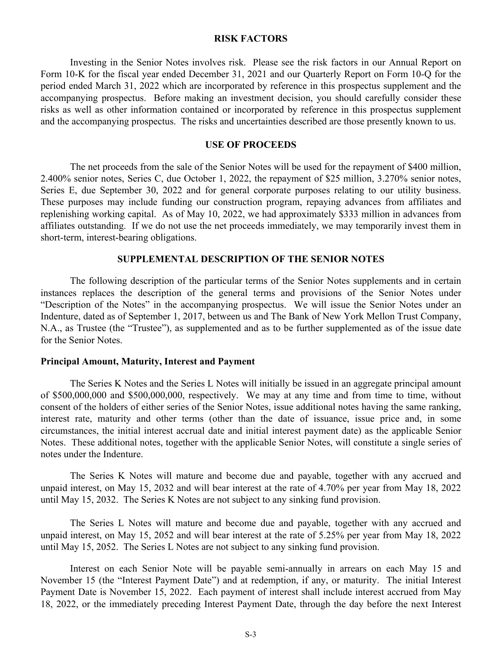#### **RISK FACTORS**

<span id="page-2-0"></span>Investing in the Senior Notes involves risk. Please see the risk factors in our Annual Report on Form 10-K for the fiscal year ended December 31, 2021 and our Quarterly Report on Form 10-Q for the period ended March 31, 2022 which are incorporated by reference in this prospectus supplement and the accompanying prospectus. Before making an investment decision, you should carefully consider these risks as well as other information contained or incorporated by reference in this prospectus supplement and the accompanying prospectus. The risks and uncertainties described are those presently known to us.

#### **USE OF PROCEEDS**

The net proceeds from the sale of the Senior Notes will be used for the repayment of \$400 million, 2.400% senior notes, Series C, due October 1, 2022, the repayment of \$25 million, 3.270% senior notes, Series E, due September 30, 2022 and for general corporate purposes relating to our utility business. These purposes may include funding our construction program, repaying advances from affiliates and replenishing working capital. As of May 10, 2022, we had approximately \$333 million in advances from affiliates outstanding. If we do not use the net proceeds immediately, we may temporarily invest them in short-term, interest-bearing obligations.

#### **SUPPLEMENTAL DESCRIPTION OF THE SENIOR NOTES**

The following description of the particular terms of the Senior Notes supplements and in certain instances replaces the description of the general terms and provisions of the Senior Notes under "Description of the Notes" in the accompanying prospectus. We will issue the Senior Notes under an Indenture, dated as of September 1, 2017, between us and The Bank of New York Mellon Trust Company, N.A., as Trustee (the "Trustee"), as supplemented and as to be further supplemented as of the issue date for the Senior Notes.

#### **Principal Amount, Maturity, Interest and Payment**

The Series K Notes and the Series L Notes will initially be issued in an aggregate principal amount of \$500,000,000 and \$500,000,000, respectively. We may at any time and from time to time, without consent of the holders of either series of the Senior Notes, issue additional notes having the same ranking, interest rate, maturity and other terms (other than the date of issuance, issue price and, in some circumstances, the initial interest accrual date and initial interest payment date) as the applicable Senior Notes. These additional notes, together with the applicable Senior Notes, will constitute a single series of notes under the Indenture.

The Series K Notes will mature and become due and payable, together with any accrued and unpaid interest, on May 15, 2032 and will bear interest at the rate of 4.70% per year from May 18, 2022 until May 15, 2032. The Series K Notes are not subject to any sinking fund provision.

The Series L Notes will mature and become due and payable, together with any accrued and unpaid interest, on May 15, 2052 and will bear interest at the rate of 5.25% per year from May 18, 2022 until May 15, 2052. The Series L Notes are not subject to any sinking fund provision.

Interest on each Senior Note will be payable semi-annually in arrears on each May 15 and November 15 (the "Interest Payment Date") and at redemption, if any, or maturity. The initial Interest Payment Date is November 15, 2022. Each payment of interest shall include interest accrued from May 18, 2022, or the immediately preceding Interest Payment Date, through the day before the next Interest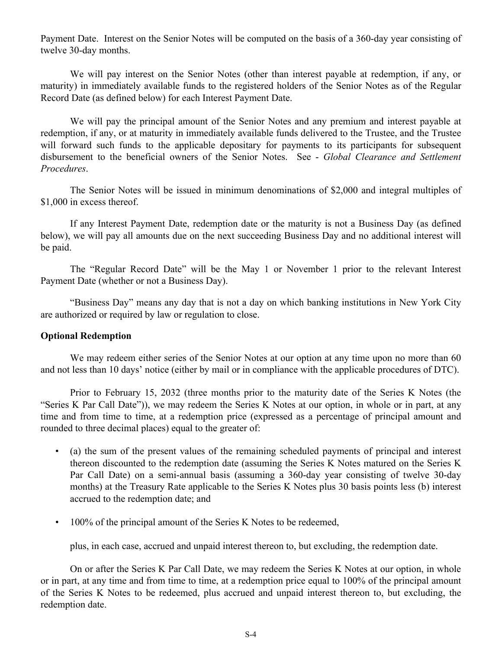Payment Date. Interest on the Senior Notes will be computed on the basis of a 360-day year consisting of twelve 30-day months.

We will pay interest on the Senior Notes (other than interest payable at redemption, if any, or maturity) in immediately available funds to the registered holders of the Senior Notes as of the Regular Record Date (as defined below) for each Interest Payment Date.

We will pay the principal amount of the Senior Notes and any premium and interest payable at redemption, if any, or at maturity in immediately available funds delivered to the Trustee, and the Trustee will forward such funds to the applicable depositary for payments to its participants for subsequent disbursement to the beneficial owners of the Senior Notes. See - *Global Clearance and Settlement Procedures*.

The Senior Notes will be issued in minimum denominations of \$2,000 and integral multiples of \$1,000 in excess thereof.

If any Interest Payment Date, redemption date or the maturity is not a Business Day (as defined below), we will pay all amounts due on the next succeeding Business Day and no additional interest will be paid.

The "Regular Record Date" will be the May 1 or November 1 prior to the relevant Interest Payment Date (whether or not a Business Day).

"Business Day" means any day that is not a day on which banking institutions in New York City are authorized or required by law or regulation to close.

## **Optional Redemption**

We may redeem either series of the Senior Notes at our option at any time upon no more than 60 and not less than 10 days' notice (either by mail or in compliance with the applicable procedures of DTC).

Prior to February 15, 2032 (three months prior to the maturity date of the Series K Notes (the "Series K Par Call Date")), we may redeem the Series K Notes at our option, in whole or in part, at any time and from time to time, at a redemption price (expressed as a percentage of principal amount and rounded to three decimal places) equal to the greater of:

- (a) the sum of the present values of the remaining scheduled payments of principal and interest thereon discounted to the redemption date (assuming the Series K Notes matured on the Series K Par Call Date) on a semi-annual basis (assuming a 360-day year consisting of twelve 30-day months) at the Treasury Rate applicable to the Series K Notes plus 30 basis points less (b) interest accrued to the redemption date; and
- 100% of the principal amount of the Series K Notes to be redeemed,

plus, in each case, accrued and unpaid interest thereon to, but excluding, the redemption date.

On or after the Series K Par Call Date, we may redeem the Series K Notes at our option, in whole or in part, at any time and from time to time, at a redemption price equal to 100% of the principal amount of the Series K Notes to be redeemed, plus accrued and unpaid interest thereon to, but excluding, the redemption date.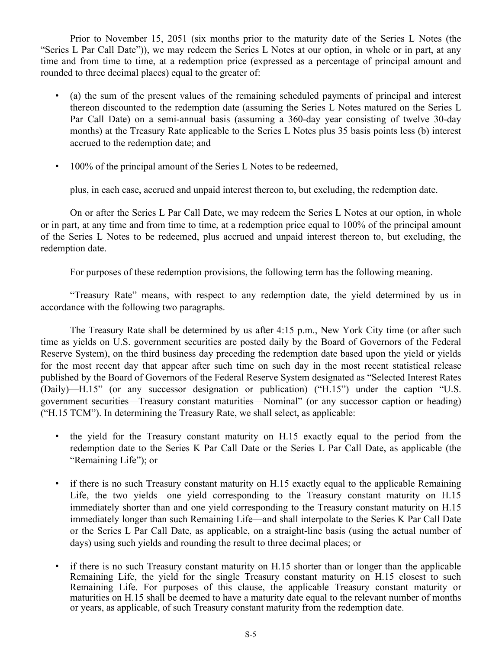Prior to November 15, 2051 (six months prior to the maturity date of the Series L Notes (the "Series L Par Call Date")), we may redeem the Series L Notes at our option, in whole or in part, at any time and from time to time, at a redemption price (expressed as a percentage of principal amount and rounded to three decimal places) equal to the greater of:

- (a) the sum of the present values of the remaining scheduled payments of principal and interest thereon discounted to the redemption date (assuming the Series L Notes matured on the Series L Par Call Date) on a semi-annual basis (assuming a 360-day year consisting of twelve 30-day months) at the Treasury Rate applicable to the Series L Notes plus 35 basis points less (b) interest accrued to the redemption date; and
- 100% of the principal amount of the Series L Notes to be redeemed,

plus, in each case, accrued and unpaid interest thereon to, but excluding, the redemption date.

On or after the Series L Par Call Date, we may redeem the Series L Notes at our option, in whole or in part, at any time and from time to time, at a redemption price equal to 100% of the principal amount of the Series L Notes to be redeemed, plus accrued and unpaid interest thereon to, but excluding, the redemption date.

For purposes of these redemption provisions, the following term has the following meaning.

"Treasury Rate" means, with respect to any redemption date, the yield determined by us in accordance with the following two paragraphs.

The Treasury Rate shall be determined by us after 4:15 p.m., New York City time (or after such time as yields on U.S. government securities are posted daily by the Board of Governors of the Federal Reserve System), on the third business day preceding the redemption date based upon the yield or yields for the most recent day that appear after such time on such day in the most recent statistical release published by the Board of Governors of the Federal Reserve System designated as "Selected Interest Rates (Daily)—H.15" (or any successor designation or publication) ("H.15") under the caption "U.S. government securities—Treasury constant maturities—Nominal" (or any successor caption or heading) ("H.15 TCM"). In determining the Treasury Rate, we shall select, as applicable:

- the yield for the Treasury constant maturity on H.15 exactly equal to the period from the redemption date to the Series K Par Call Date or the Series L Par Call Date, as applicable (the "Remaining Life"); or
- if there is no such Treasury constant maturity on H.15 exactly equal to the applicable Remaining Life, the two yields—one yield corresponding to the Treasury constant maturity on H.15 immediately shorter than and one yield corresponding to the Treasury constant maturity on H.15 immediately longer than such Remaining Life—and shall interpolate to the Series K Par Call Date or the Series L Par Call Date, as applicable, on a straight-line basis (using the actual number of days) using such yields and rounding the result to three decimal places; or
- if there is no such Treasury constant maturity on H.15 shorter than or longer than the applicable Remaining Life, the yield for the single Treasury constant maturity on H.15 closest to such Remaining Life. For purposes of this clause, the applicable Treasury constant maturity or maturities on H.15 shall be deemed to have a maturity date equal to the relevant number of months or years, as applicable, of such Treasury constant maturity from the redemption date.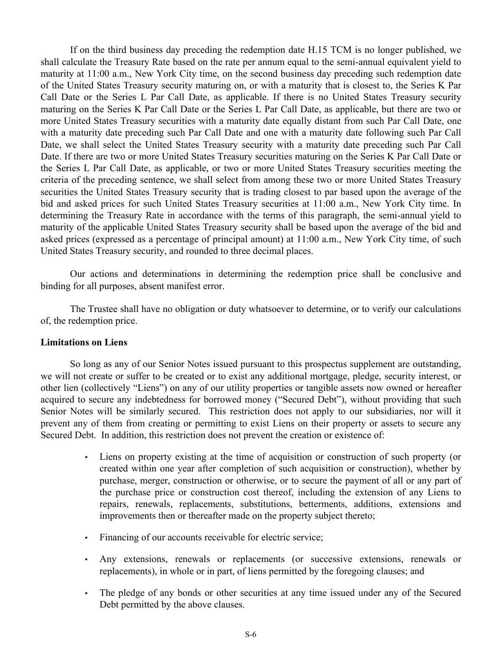If on the third business day preceding the redemption date H.15 TCM is no longer published, we shall calculate the Treasury Rate based on the rate per annum equal to the semi-annual equivalent yield to maturity at 11:00 a.m., New York City time, on the second business day preceding such redemption date of the United States Treasury security maturing on, or with a maturity that is closest to, the Series K Par Call Date or the Series L Par Call Date, as applicable. If there is no United States Treasury security maturing on the Series K Par Call Date or the Series L Par Call Date, as applicable, but there are two or more United States Treasury securities with a maturity date equally distant from such Par Call Date, one with a maturity date preceding such Par Call Date and one with a maturity date following such Par Call Date, we shall select the United States Treasury security with a maturity date preceding such Par Call Date. If there are two or more United States Treasury securities maturing on the Series K Par Call Date or the Series L Par Call Date, as applicable, or two or more United States Treasury securities meeting the criteria of the preceding sentence, we shall select from among these two or more United States Treasury securities the United States Treasury security that is trading closest to par based upon the average of the bid and asked prices for such United States Treasury securities at 11:00 a.m., New York City time. In determining the Treasury Rate in accordance with the terms of this paragraph, the semi-annual yield to maturity of the applicable United States Treasury security shall be based upon the average of the bid and asked prices (expressed as a percentage of principal amount) at 11:00 a.m., New York City time, of such United States Treasury security, and rounded to three decimal places.

Our actions and determinations in determining the redemption price shall be conclusive and binding for all purposes, absent manifest error.

The Trustee shall have no obligation or duty whatsoever to determine, or to verify our calculations of, the redemption price.

#### **Limitations on Liens**

So long as any of our Senior Notes issued pursuant to this prospectus supplement are outstanding, we will not create or suffer to be created or to exist any additional mortgage, pledge, security interest, or other lien (collectively "Liens") on any of our utility properties or tangible assets now owned or hereafter acquired to secure any indebtedness for borrowed money ("Secured Debt"), without providing that such Senior Notes will be similarly secured. This restriction does not apply to our subsidiaries, nor will it prevent any of them from creating or permitting to exist Liens on their property or assets to secure any Secured Debt. In addition, this restriction does not prevent the creation or existence of:

- Liens on property existing at the time of acquisition or construction of such property (or created within one year after completion of such acquisition or construction), whether by purchase, merger, construction or otherwise, or to secure the payment of all or any part of the purchase price or construction cost thereof, including the extension of any Liens to repairs, renewals, replacements, substitutions, betterments, additions, extensions and improvements then or thereafter made on the property subject thereto;
- Financing of our accounts receivable for electric service;
- Any extensions, renewals or replacements (or successive extensions, renewals or replacements), in whole or in part, of liens permitted by the foregoing clauses; and
- The pledge of any bonds or other securities at any time issued under any of the Secured Debt permitted by the above clauses.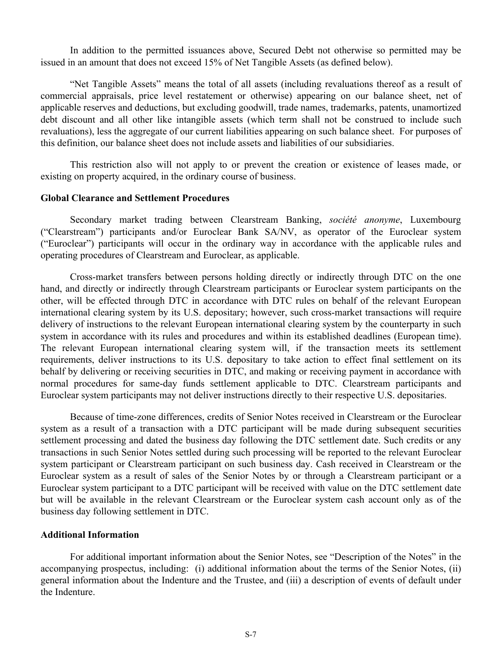In addition to the permitted issuances above, Secured Debt not otherwise so permitted may be issued in an amount that does not exceed 15% of Net Tangible Assets (as defined below).

"Net Tangible Assets" means the total of all assets (including revaluations thereof as a result of commercial appraisals, price level restatement or otherwise) appearing on our balance sheet, net of applicable reserves and deductions, but excluding goodwill, trade names, trademarks, patents, unamortized debt discount and all other like intangible assets (which term shall not be construed to include such revaluations), less the aggregate of our current liabilities appearing on such balance sheet. For purposes of this definition, our balance sheet does not include assets and liabilities of our subsidiaries.

This restriction also will not apply to or prevent the creation or existence of leases made, or existing on property acquired, in the ordinary course of business.

#### **Global Clearance and Settlement Procedures**

Secondary market trading between Clearstream Banking, *société anonyme*, Luxembourg ("Clearstream") participants and/or Euroclear Bank SA/NV, as operator of the Euroclear system ("Euroclear") participants will occur in the ordinary way in accordance with the applicable rules and operating procedures of Clearstream and Euroclear, as applicable.

Cross-market transfers between persons holding directly or indirectly through DTC on the one hand, and directly or indirectly through Clearstream participants or Euroclear system participants on the other, will be effected through DTC in accordance with DTC rules on behalf of the relevant European international clearing system by its U.S. depositary; however, such cross-market transactions will require delivery of instructions to the relevant European international clearing system by the counterparty in such system in accordance with its rules and procedures and within its established deadlines (European time). The relevant European international clearing system will, if the transaction meets its settlement requirements, deliver instructions to its U.S. depositary to take action to effect final settlement on its behalf by delivering or receiving securities in DTC, and making or receiving payment in accordance with normal procedures for same-day funds settlement applicable to DTC. Clearstream participants and Euroclear system participants may not deliver instructions directly to their respective U.S. depositaries.

Because of time-zone differences, credits of Senior Notes received in Clearstream or the Euroclear system as a result of a transaction with a DTC participant will be made during subsequent securities settlement processing and dated the business day following the DTC settlement date. Such credits or any transactions in such Senior Notes settled during such processing will be reported to the relevant Euroclear system participant or Clearstream participant on such business day. Cash received in Clearstream or the Euroclear system as a result of sales of the Senior Notes by or through a Clearstream participant or a Euroclear system participant to a DTC participant will be received with value on the DTC settlement date but will be available in the relevant Clearstream or the Euroclear system cash account only as of the business day following settlement in DTC.

## **Additional Information**

For additional important information about the Senior Notes, see "Description of the Notes" in the accompanying prospectus, including: (i) additional information about the terms of the Senior Notes, (ii) general information about the Indenture and the Trustee, and (iii) a description of events of default under the Indenture.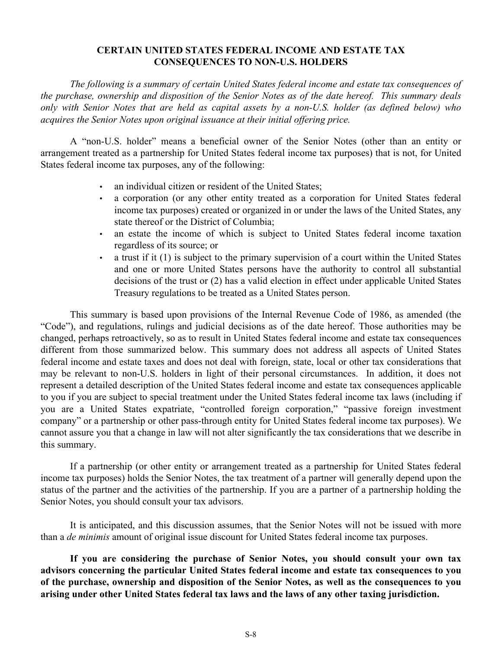## **CERTAIN UNITED STATES FEDERAL INCOME AND ESTATE TAX CONSEQUENCES TO NON-U.S. HOLDERS**

<span id="page-7-0"></span>*The following is a summary of certain United States federal income and estate tax consequences of the purchase, ownership and disposition of the Senior Notes as of the date hereof. This summary deals only with Senior Notes that are held as capital assets by a non-U.S. holder (as defined below) who acquires the Senior Notes upon original issuance at their initial offering price.*

A "non-U.S. holder" means a beneficial owner of the Senior Notes (other than an entity or arrangement treated as a partnership for United States federal income tax purposes) that is not, for United States federal income tax purposes, any of the following:

- an individual citizen or resident of the United States:
- a corporation (or any other entity treated as a corporation for United States federal income tax purposes) created or organized in or under the laws of the United States, any state thereof or the District of Columbia;
- an estate the income of which is subject to United States federal income taxation regardless of its source; or
- a trust if it (1) is subject to the primary supervision of a court within the United States and one or more United States persons have the authority to control all substantial decisions of the trust or (2) has a valid election in effect under applicable United States Treasury regulations to be treated as a United States person.

This summary is based upon provisions of the Internal Revenue Code of 1986, as amended (the "Code"), and regulations, rulings and judicial decisions as of the date hereof. Those authorities may be changed, perhaps retroactively, so as to result in United States federal income and estate tax consequences different from those summarized below. This summary does not address all aspects of United States federal income and estate taxes and does not deal with foreign, state, local or other tax considerations that may be relevant to non-U.S. holders in light of their personal circumstances. In addition, it does not represent a detailed description of the United States federal income and estate tax consequences applicable to you if you are subject to special treatment under the United States federal income tax laws (including if you are a United States expatriate, "controlled foreign corporation," "passive foreign investment company" or a partnership or other pass-through entity for United States federal income tax purposes). We cannot assure you that a change in law will not alter significantly the tax considerations that we describe in this summary.

If a partnership (or other entity or arrangement treated as a partnership for United States federal income tax purposes) holds the Senior Notes, the tax treatment of a partner will generally depend upon the status of the partner and the activities of the partnership. If you are a partner of a partnership holding the Senior Notes, you should consult your tax advisors.

It is anticipated, and this discussion assumes, that the Senior Notes will not be issued with more than a *de minimis* amount of original issue discount for United States federal income tax purposes.

**If you are considering the purchase of Senior Notes, you should consult your own tax advisors concerning the particular United States federal income and estate tax consequences to you of the purchase, ownership and disposition of the Senior Notes, as well as the consequences to you arising under other United States federal tax laws and the laws of any other taxing jurisdiction.**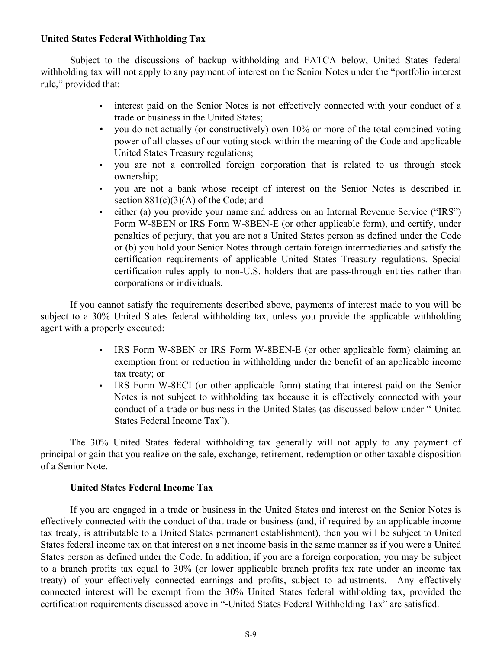## **United States Federal Withholding Tax**

Subject to the discussions of backup withholding and FATCA below, United States federal withholding tax will not apply to any payment of interest on the Senior Notes under the "portfolio interest rule," provided that:

- interest paid on the Senior Notes is not effectively connected with your conduct of a trade or business in the United States;
- you do not actually (or constructively) own 10% or more of the total combined voting power of all classes of our voting stock within the meaning of the Code and applicable United States Treasury regulations;
- you are not a controlled foreign corporation that is related to us through stock ownership;
- you are not a bank whose receipt of interest on the Senior Notes is described in section  $881(c)(3)(A)$  of the Code; and
- either (a) you provide your name and address on an Internal Revenue Service ("IRS") Form W-8BEN or IRS Form W-8BEN-E (or other applicable form), and certify, under penalties of perjury, that you are not a United States person as defined under the Code or (b) you hold your Senior Notes through certain foreign intermediaries and satisfy the certification requirements of applicable United States Treasury regulations. Special certification rules apply to non-U.S. holders that are pass-through entities rather than corporations or individuals.

If you cannot satisfy the requirements described above, payments of interest made to you will be subject to a 30% United States federal withholding tax, unless you provide the applicable withholding agent with a properly executed:

- IRS Form W-8BEN or IRS Form W-8BEN-E (or other applicable form) claiming an exemption from or reduction in withholding under the benefit of an applicable income tax treaty; or
- IRS Form W-8ECI (or other applicable form) stating that interest paid on the Senior Notes is not subject to withholding tax because it is effectively connected with your conduct of a trade or business in the United States (as discussed below under "-United States Federal Income Tax").

The 30% United States federal withholding tax generally will not apply to any payment of principal or gain that you realize on the sale, exchange, retirement, redemption or other taxable disposition of a Senior Note.

## **United States Federal Income Tax**

If you are engaged in a trade or business in the United States and interest on the Senior Notes is effectively connected with the conduct of that trade or business (and, if required by an applicable income tax treaty, is attributable to a United States permanent establishment), then you will be subject to United States federal income tax on that interest on a net income basis in the same manner as if you were a United States person as defined under the Code. In addition, if you are a foreign corporation, you may be subject to a branch profits tax equal to 30% (or lower applicable branch profits tax rate under an income tax treaty) of your effectively connected earnings and profits, subject to adjustments. Any effectively connected interest will be exempt from the 30% United States federal withholding tax, provided the certification requirements discussed above in "-United States Federal Withholding Tax" are satisfied.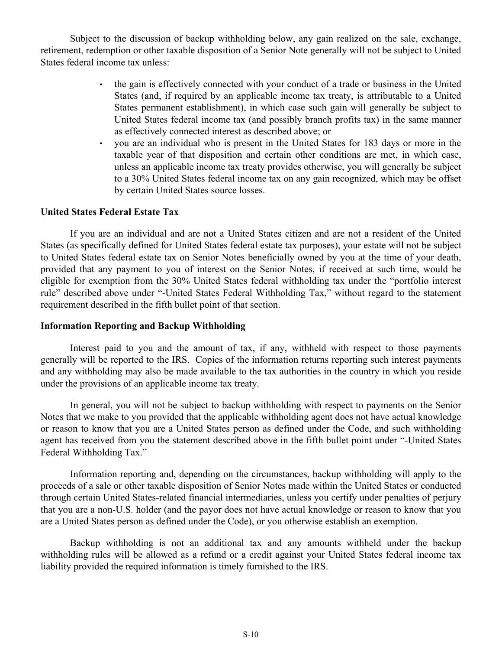Subject to the discussion of backup withholding below, any gain realized on the sale, exchange, retirement, redemption or other taxable disposition of a Senior Note generally will not be subject to United States federal income tax unless:

- the gain is effectively connected with your conduct of a trade or business in the United States (and, if required by an applicable income tax treaty, is attributable to a United States permanent establishment), in which case such gain will generally be subject to United States federal income tax (and possibly branch profits tax) in the same manner as effectively connected interest as described above; or
- you are an individual who is present in the United States for 183 days or more in the taxable year of that disposition and certain other conditions are met, in which case, unless an applicable income tax treaty provides otherwise, you will generally be subject to a 30% United States federal income tax on any gain recognized, which may be offset by certain United States source losses.

#### **United States Federal Estate Tax**

If you are an individual and are not a United States citizen and are not a resident of the United States (as specifically defined for United States federal estate tax purposes), your estate will not be subject to United States federal estate tax on Senior Notes beneficially owned by you at the time of your death, provided that any payment to you of interest on the Senior Notes, if received at such time, would be eligible for exemption from the 30% United States federal withholding tax under the "portfolio interest rule" described above under "-United States Federal Withholding Tax," without regard to the statement requirement described in the fifth bullet point of that section.

#### **Information Reporting and Backup Withholding**

Interest paid to you and the amount of tax, if any, withheld with respect to those payments generally will be reported to the IRS. Copies of the information returns reporting such interest payments and any withholding may also be made available to the tax authorities in the country in which you reside under the provisions of an applicable income tax treaty.

In general, you will not be subject to backup withholding with respect to payments on the Senior Notes that we make to you provided that the applicable withholding agent does not have actual knowledge or reason to know that you are a United States person as defined under the Code, and such withholding agent has received from you the statement described above in the fifth bullet point under "-United States Federal Withholding Tax."

Information reporting and, depending on the circumstances, backup withholding will apply to the proceeds of a sale or other taxable disposition of Senior Notes made within the United States or conducted through certain United States-related financial intermediaries, unless you certify under penalties of perjury that you are a non-U.S. holder (and the payor does not have actual knowledge or reason to know that you are a United States person as defined under the Code), or you otherwise establish an exemption.

Backup withholding is not an additional tax and any amounts withheld under the backup withholding rules will be allowed as a refund or a credit against your United States federal income tax liability provided the required information is timely furnished to the IRS.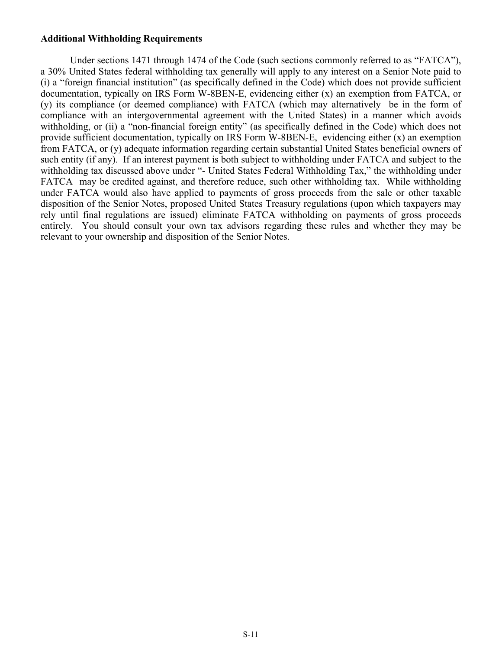#### **Additional Withholding Requirements**

Under sections 1471 through 1474 of the Code (such sections commonly referred to as "FATCA"), a 30% United States federal withholding tax generally will apply to any interest on a Senior Note paid to (i) a "foreign financial institution" (as specifically defined in the Code) which does not provide sufficient documentation, typically on IRS Form W-8BEN-E, evidencing either (x) an exemption from FATCA, or (y) its compliance (or deemed compliance) with FATCA (which may alternatively be in the form of compliance with an intergovernmental agreement with the United States) in a manner which avoids withholding, or (ii) a "non-financial foreign entity" (as specifically defined in the Code) which does not provide sufficient documentation, typically on IRS Form W-8BEN-E, evidencing either (x) an exemption from FATCA, or (y) adequate information regarding certain substantial United States beneficial owners of such entity (if any). If an interest payment is both subject to withholding under FATCA and subject to the withholding tax discussed above under "- United States Federal Withholding Tax," the withholding under FATCA may be credited against, and therefore reduce, such other withholding tax. While withholding under FATCA would also have applied to payments of gross proceeds from the sale or other taxable disposition of the Senior Notes, proposed United States Treasury regulations (upon which taxpayers may rely until final regulations are issued) eliminate FATCA withholding on payments of gross proceeds entirely. You should consult your own tax advisors regarding these rules and whether they may be relevant to your ownership and disposition of the Senior Notes.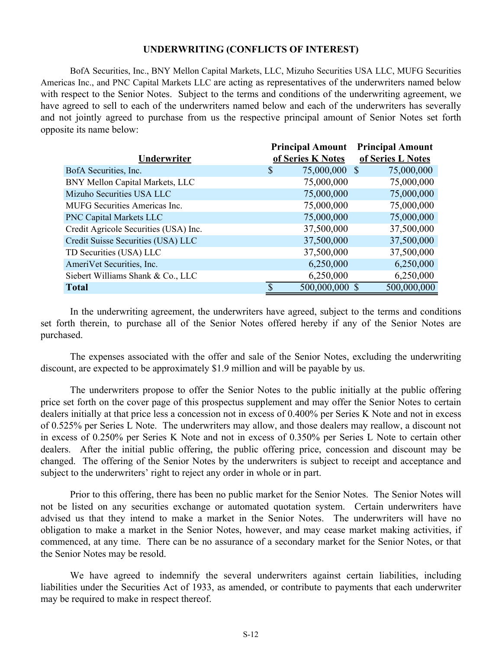#### **UNDERWRITING (CONFLICTS OF INTEREST)**

<span id="page-11-0"></span>BofA Securities, Inc., BNY Mellon Capital Markets, LLC, Mizuho Securities USA LLC, MUFG Securities Americas Inc., and PNC Capital Markets LLC are acting as representatives of the underwriters named below with respect to the Senior Notes. Subject to the terms and conditions of the underwriting agreement, we have agreed to sell to each of the underwriters named below and each of the underwriters has severally and not jointly agreed to purchase from us the respective principal amount of Senior Notes set forth opposite its name below:

|                                       | <b>Principal Amount</b>                 | <b>Principal Amount</b> |
|---------------------------------------|-----------------------------------------|-------------------------|
| Underwriter                           | of Series K Notes                       | of Series L Notes       |
| BofA Securities, Inc.                 | 75,000,000<br>$\boldsymbol{\mathsf{S}}$ | 75,000,000<br>-S        |
| BNY Mellon Capital Markets, LLC       | 75,000,000                              | 75,000,000              |
| Mizuho Securities USA LLC             | 75,000,000                              | 75,000,000              |
| <b>MUFG</b> Securities Americas Inc.  | 75,000,000                              | 75,000,000              |
| <b>PNC Capital Markets LLC</b>        | 75,000,000                              | 75,000,000              |
| Credit Agricole Securities (USA) Inc. | 37,500,000                              | 37,500,000              |
| Credit Suisse Securities (USA) LLC    | 37,500,000                              | 37,500,000              |
| TD Securities (USA) LLC               | 37,500,000                              | 37,500,000              |
| AmeriVet Securities, Inc.             | 6,250,000                               | 6,250,000               |
| Siebert Williams Shank & Co., LLC     | 6,250,000                               | 6,250,000               |
| <b>Total</b>                          | 500,000,000 \$                          | 500,000,000             |

In the underwriting agreement, the underwriters have agreed, subject to the terms and conditions set forth therein, to purchase all of the Senior Notes offered hereby if any of the Senior Notes are purchased.

The expenses associated with the offer and sale of the Senior Notes, excluding the underwriting discount, are expected to be approximately \$1.9 million and will be payable by us.

The underwriters propose to offer the Senior Notes to the public initially at the public offering price set forth on the cover page of this prospectus supplement and may offer the Senior Notes to certain dealers initially at that price less a concession not in excess of 0.400% per Series K Note and not in excess of 0.525% per Series L Note. The underwriters may allow, and those dealers may reallow, a discount not in excess of 0.250% per Series K Note and not in excess of 0.350% per Series L Note to certain other dealers. After the initial public offering, the public offering price, concession and discount may be changed. The offering of the Senior Notes by the underwriters is subject to receipt and acceptance and subject to the underwriters' right to reject any order in whole or in part.

Prior to this offering, there has been no public market for the Senior Notes. The Senior Notes will not be listed on any securities exchange or automated quotation system. Certain underwriters have advised us that they intend to make a market in the Senior Notes. The underwriters will have no obligation to make a market in the Senior Notes, however, and may cease market making activities, if commenced, at any time. There can be no assurance of a secondary market for the Senior Notes, or that the Senior Notes may be resold.

We have agreed to indemnify the several underwriters against certain liabilities, including liabilities under the Securities Act of 1933, as amended, or contribute to payments that each underwriter may be required to make in respect thereof.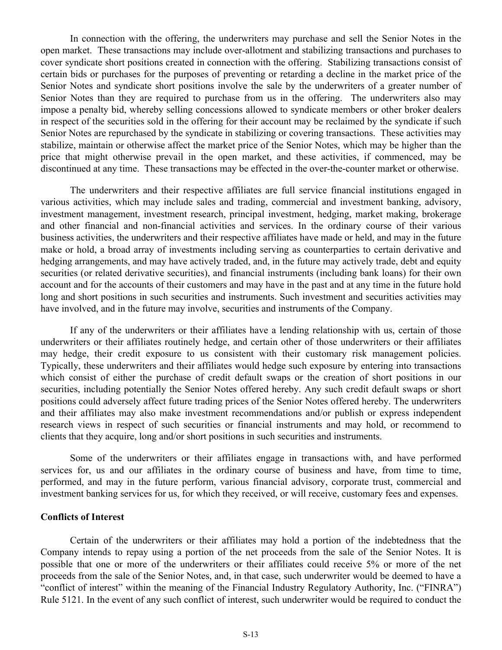In connection with the offering, the underwriters may purchase and sell the Senior Notes in the open market. These transactions may include over-allotment and stabilizing transactions and purchases to cover syndicate short positions created in connection with the offering. Stabilizing transactions consist of certain bids or purchases for the purposes of preventing or retarding a decline in the market price of the Senior Notes and syndicate short positions involve the sale by the underwriters of a greater number of Senior Notes than they are required to purchase from us in the offering. The underwriters also may impose a penalty bid, whereby selling concessions allowed to syndicate members or other broker dealers in respect of the securities sold in the offering for their account may be reclaimed by the syndicate if such Senior Notes are repurchased by the syndicate in stabilizing or covering transactions. These activities may stabilize, maintain or otherwise affect the market price of the Senior Notes, which may be higher than the price that might otherwise prevail in the open market, and these activities, if commenced, may be discontinued at any time. These transactions may be effected in the over-the-counter market or otherwise.

The underwriters and their respective affiliates are full service financial institutions engaged in various activities, which may include sales and trading, commercial and investment banking, advisory, investment management, investment research, principal investment, hedging, market making, brokerage and other financial and non-financial activities and services. In the ordinary course of their various business activities, the underwriters and their respective affiliates have made or held, and may in the future make or hold, a broad array of investments including serving as counterparties to certain derivative and hedging arrangements, and may have actively traded, and, in the future may actively trade, debt and equity securities (or related derivative securities), and financial instruments (including bank loans) for their own account and for the accounts of their customers and may have in the past and at any time in the future hold long and short positions in such securities and instruments. Such investment and securities activities may have involved, and in the future may involve, securities and instruments of the Company.

If any of the underwriters or their affiliates have a lending relationship with us, certain of those underwriters or their affiliates routinely hedge, and certain other of those underwriters or their affiliates may hedge, their credit exposure to us consistent with their customary risk management policies. Typically, these underwriters and their affiliates would hedge such exposure by entering into transactions which consist of either the purchase of credit default swaps or the creation of short positions in our securities, including potentially the Senior Notes offered hereby. Any such credit default swaps or short positions could adversely affect future trading prices of the Senior Notes offered hereby. The underwriters and their affiliates may also make investment recommendations and/or publish or express independent research views in respect of such securities or financial instruments and may hold, or recommend to clients that they acquire, long and/or short positions in such securities and instruments.

Some of the underwriters or their affiliates engage in transactions with, and have performed services for, us and our affiliates in the ordinary course of business and have, from time to time, performed, and may in the future perform, various financial advisory, corporate trust, commercial and investment banking services for us, for which they received, or will receive, customary fees and expenses.

## **Conflicts of Interest**

Certain of the underwriters or their affiliates may hold a portion of the indebtedness that the Company intends to repay using a portion of the net proceeds from the sale of the Senior Notes. It is possible that one or more of the underwriters or their affiliates could receive 5% or more of the net proceeds from the sale of the Senior Notes, and, in that case, such underwriter would be deemed to have a "conflict of interest" within the meaning of the Financial Industry Regulatory Authority, Inc. ("FINRA") Rule 5121. In the event of any such conflict of interest, such underwriter would be required to conduct the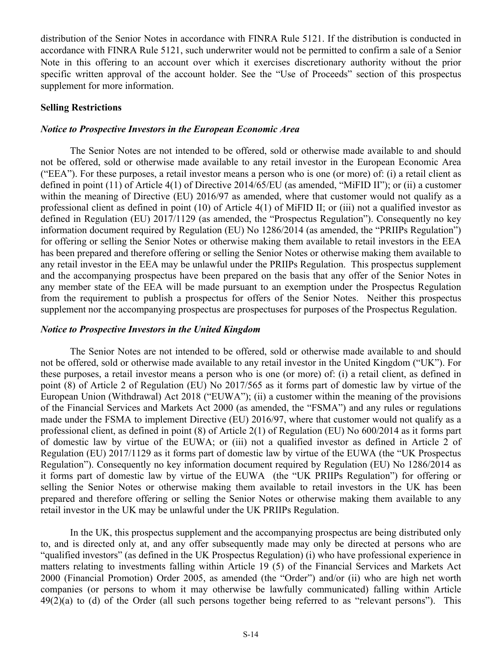distribution of the Senior Notes in accordance with FINRA Rule 5121. If the distribution is conducted in accordance with FINRA Rule 5121, such underwriter would not be permitted to confirm a sale of a Senior Note in this offering to an account over which it exercises discretionary authority without the prior specific written approval of the account holder. See the "Use of Proceeds" section of this prospectus supplement for more information.

#### **Selling Restrictions**

#### *Notice to Prospective Investors in the European Economic Area*

The Senior Notes are not intended to be offered, sold or otherwise made available to and should not be offered, sold or otherwise made available to any retail investor in the European Economic Area ("EEA"). For these purposes, a retail investor means a person who is one (or more) of: (i) a retail client as defined in point (11) of Article 4(1) of Directive 2014/65/EU (as amended, "MiFID II"); or (ii) a customer within the meaning of Directive (EU) 2016/97 as amended, where that customer would not qualify as a professional client as defined in point (10) of Article 4(1) of MiFID II; or (iii) not a qualified investor as defined in Regulation (EU) 2017/1129 (as amended, the "Prospectus Regulation"). Consequently no key information document required by Regulation (EU) No 1286/2014 (as amended, the "PRIIPs Regulation") for offering or selling the Senior Notes or otherwise making them available to retail investors in the EEA has been prepared and therefore offering or selling the Senior Notes or otherwise making them available to any retail investor in the EEA may be unlawful under the PRIIPs Regulation. This prospectus supplement and the accompanying prospectus have been prepared on the basis that any offer of the Senior Notes in any member state of the EEA will be made pursuant to an exemption under the Prospectus Regulation from the requirement to publish a prospectus for offers of the Senior Notes. Neither this prospectus supplement nor the accompanying prospectus are prospectuses for purposes of the Prospectus Regulation.

#### *Notice to Prospective Investors in the United Kingdom*

The Senior Notes are not intended to be offered, sold or otherwise made available to and should not be offered, sold or otherwise made available to any retail investor in the United Kingdom ("UK"). For these purposes, a retail investor means a person who is one (or more) of: (i) a retail client, as defined in point (8) of Article 2 of Regulation (EU) No 2017/565 as it forms part of domestic law by virtue of the European Union (Withdrawal) Act 2018 ("EUWA"); (ii) a customer within the meaning of the provisions of the Financial Services and Markets Act 2000 (as amended, the "FSMA") and any rules or regulations made under the FSMA to implement Directive (EU) 2016/97, where that customer would not qualify as a professional client, as defined in point (8) of Article 2(1) of Regulation (EU) No 600/2014 as it forms part of domestic law by virtue of the EUWA; or (iii) not a qualified investor as defined in Article 2 of Regulation (EU) 2017/1129 as it forms part of domestic law by virtue of the EUWA (the "UK Prospectus Regulation"). Consequently no key information document required by Regulation (EU) No 1286/2014 as it forms part of domestic law by virtue of the EUWA (the "UK PRIIPs Regulation") for offering or selling the Senior Notes or otherwise making them available to retail investors in the UK has been prepared and therefore offering or selling the Senior Notes or otherwise making them available to any retail investor in the UK may be unlawful under the UK PRIIPs Regulation.

In the UK, this prospectus supplement and the accompanying prospectus are being distributed only to, and is directed only at, and any offer subsequently made may only be directed at persons who are "qualified investors" (as defined in the UK Prospectus Regulation) (i) who have professional experience in matters relating to investments falling within Article 19 (5) of the Financial Services and Markets Act 2000 (Financial Promotion) Order 2005, as amended (the "Order") and/or (ii) who are high net worth companies (or persons to whom it may otherwise be lawfully communicated) falling within Article  $49(2)(a)$  to (d) of the Order (all such persons together being referred to as "relevant persons"). This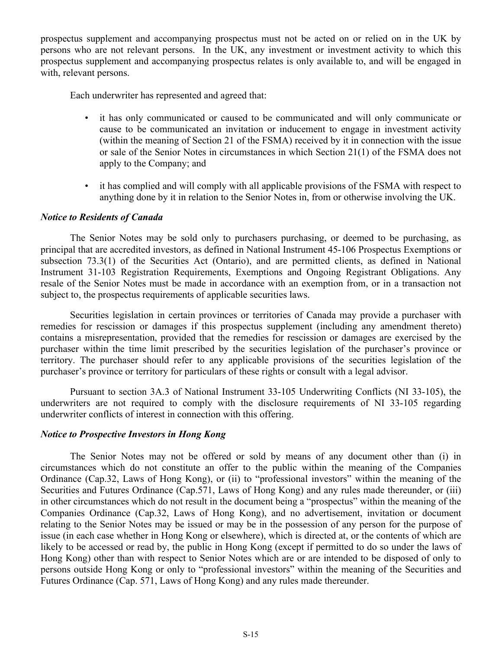prospectus supplement and accompanying prospectus must not be acted on or relied on in the UK by persons who are not relevant persons. In the UK, any investment or investment activity to which this prospectus supplement and accompanying prospectus relates is only available to, and will be engaged in with, relevant persons.

Each underwriter has represented and agreed that:

- it has only communicated or caused to be communicated and will only communicate or cause to be communicated an invitation or inducement to engage in investment activity (within the meaning of Section 21 of the FSMA) received by it in connection with the issue or sale of the Senior Notes in circumstances in which Section 21(1) of the FSMA does not apply to the Company; and
- it has complied and will comply with all applicable provisions of the FSMA with respect to anything done by it in relation to the Senior Notes in, from or otherwise involving the UK.

## *Notice to Residents of Canada*

The Senior Notes may be sold only to purchasers purchasing, or deemed to be purchasing, as principal that are accredited investors, as defined in National Instrument 45-106 Prospectus Exemptions or subsection 73.3(1) of the Securities Act (Ontario), and are permitted clients, as defined in National Instrument 31-103 Registration Requirements, Exemptions and Ongoing Registrant Obligations. Any resale of the Senior Notes must be made in accordance with an exemption from, or in a transaction not subject to, the prospectus requirements of applicable securities laws.

Securities legislation in certain provinces or territories of Canada may provide a purchaser with remedies for rescission or damages if this prospectus supplement (including any amendment thereto) contains a misrepresentation, provided that the remedies for rescission or damages are exercised by the purchaser within the time limit prescribed by the securities legislation of the purchaser's province or territory. The purchaser should refer to any applicable provisions of the securities legislation of the purchaser's province or territory for particulars of these rights or consult with a legal advisor.

Pursuant to section 3A.3 of National Instrument 33-105 Underwriting Conflicts (NI 33-105), the underwriters are not required to comply with the disclosure requirements of NI 33-105 regarding underwriter conflicts of interest in connection with this offering.

## *Notice to Prospective Investors in Hong Kong*

The Senior Notes may not be offered or sold by means of any document other than (i) in circumstances which do not constitute an offer to the public within the meaning of the Companies Ordinance (Cap.32, Laws of Hong Kong), or (ii) to "professional investors" within the meaning of the Securities and Futures Ordinance (Cap.571, Laws of Hong Kong) and any rules made thereunder, or (iii) in other circumstances which do not result in the document being a "prospectus" within the meaning of the Companies Ordinance (Cap.32, Laws of Hong Kong), and no advertisement, invitation or document relating to the Senior Notes may be issued or may be in the possession of any person for the purpose of issue (in each case whether in Hong Kong or elsewhere), which is directed at, or the contents of which are likely to be accessed or read by, the public in Hong Kong (except if permitted to do so under the laws of Hong Kong) other than with respect to Senior Notes which are or are intended to be disposed of only to persons outside Hong Kong or only to "professional investors" within the meaning of the Securities and Futures Ordinance (Cap. 571, Laws of Hong Kong) and any rules made thereunder.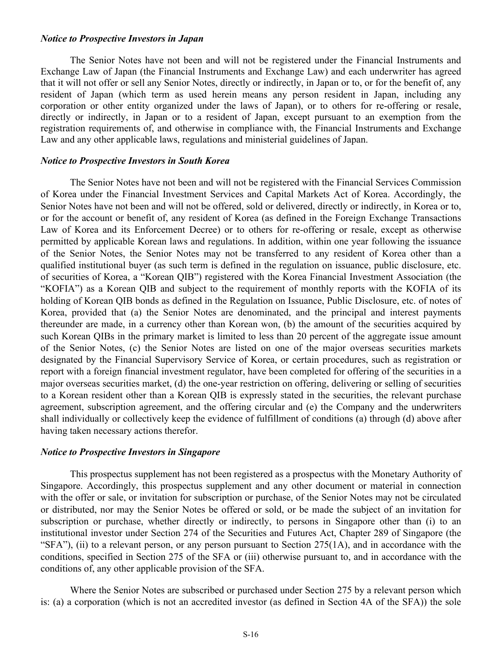#### *Notice to Prospective Investors in Japan*

The Senior Notes have not been and will not be registered under the Financial Instruments and Exchange Law of Japan (the Financial Instruments and Exchange Law) and each underwriter has agreed that it will not offer or sell any Senior Notes, directly or indirectly, in Japan or to, or for the benefit of, any resident of Japan (which term as used herein means any person resident in Japan, including any corporation or other entity organized under the laws of Japan), or to others for re-offering or resale, directly or indirectly, in Japan or to a resident of Japan, except pursuant to an exemption from the registration requirements of, and otherwise in compliance with, the Financial Instruments and Exchange Law and any other applicable laws, regulations and ministerial guidelines of Japan.

#### *Notice to Prospective Investors in South Korea*

The Senior Notes have not been and will not be registered with the Financial Services Commission of Korea under the Financial Investment Services and Capital Markets Act of Korea. Accordingly, the Senior Notes have not been and will not be offered, sold or delivered, directly or indirectly, in Korea or to, or for the account or benefit of, any resident of Korea (as defined in the Foreign Exchange Transactions Law of Korea and its Enforcement Decree) or to others for re-offering or resale, except as otherwise permitted by applicable Korean laws and regulations. In addition, within one year following the issuance of the Senior Notes, the Senior Notes may not be transferred to any resident of Korea other than a qualified institutional buyer (as such term is defined in the regulation on issuance, public disclosure, etc. of securities of Korea, a "Korean QIB") registered with the Korea Financial Investment Association (the "KOFIA") as a Korean QIB and subject to the requirement of monthly reports with the KOFIA of its holding of Korean QIB bonds as defined in the Regulation on Issuance, Public Disclosure, etc. of notes of Korea, provided that (a) the Senior Notes are denominated, and the principal and interest payments thereunder are made, in a currency other than Korean won, (b) the amount of the securities acquired by such Korean QIBs in the primary market is limited to less than 20 percent of the aggregate issue amount of the Senior Notes, (c) the Senior Notes are listed on one of the major overseas securities markets designated by the Financial Supervisory Service of Korea, or certain procedures, such as registration or report with a foreign financial investment regulator, have been completed for offering of the securities in a major overseas securities market, (d) the one-year restriction on offering, delivering or selling of securities to a Korean resident other than a Korean QIB is expressly stated in the securities, the relevant purchase agreement, subscription agreement, and the offering circular and (e) the Company and the underwriters shall individually or collectively keep the evidence of fulfillment of conditions (a) through (d) above after having taken necessary actions therefor.

#### *Notice to Prospective Investors in Singapore*

This prospectus supplement has not been registered as a prospectus with the Monetary Authority of Singapore. Accordingly, this prospectus supplement and any other document or material in connection with the offer or sale, or invitation for subscription or purchase, of the Senior Notes may not be circulated or distributed, nor may the Senior Notes be offered or sold, or be made the subject of an invitation for subscription or purchase, whether directly or indirectly, to persons in Singapore other than (i) to an institutional investor under Section 274 of the Securities and Futures Act, Chapter 289 of Singapore (the "SFA"), (ii) to a relevant person, or any person pursuant to Section  $275(1A)$ , and in accordance with the conditions, specified in Section 275 of the SFA or (iii) otherwise pursuant to, and in accordance with the conditions of, any other applicable provision of the SFA.

Where the Senior Notes are subscribed or purchased under Section 275 by a relevant person which is: (a) a corporation (which is not an accredited investor (as defined in Section 4A of the SFA)) the sole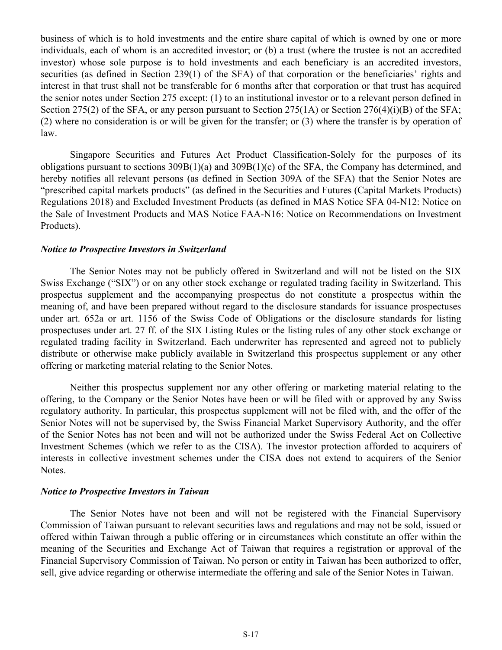business of which is to hold investments and the entire share capital of which is owned by one or more individuals, each of whom is an accredited investor; or (b) a trust (where the trustee is not an accredited investor) whose sole purpose is to hold investments and each beneficiary is an accredited investors, securities (as defined in Section 239(1) of the SFA) of that corporation or the beneficiaries' rights and interest in that trust shall not be transferable for 6 months after that corporation or that trust has acquired the senior notes under Section 275 except: (1) to an institutional investor or to a relevant person defined in Section 275(2) of the SFA, or any person pursuant to Section 275(1A) or Section 276(4)(i)(B) of the SFA; (2) where no consideration is or will be given for the transfer; or (3) where the transfer is by operation of law.

Singapore Securities and Futures Act Product Classification-Solely for the purposes of its obligations pursuant to sections 309B(1)(a) and 309B(1)(c) of the SFA, the Company has determined, and hereby notifies all relevant persons (as defined in Section 309A of the SFA) that the Senior Notes are "prescribed capital markets products" (as defined in the Securities and Futures (Capital Markets Products) Regulations 2018) and Excluded Investment Products (as defined in MAS Notice SFA 04-N12: Notice on the Sale of Investment Products and MAS Notice FAA-N16: Notice on Recommendations on Investment Products).

#### *Notice to Prospective Investors in Switzerland*

The Senior Notes may not be publicly offered in Switzerland and will not be listed on the SIX Swiss Exchange ("SIX") or on any other stock exchange or regulated trading facility in Switzerland. This prospectus supplement and the accompanying prospectus do not constitute a prospectus within the meaning of, and have been prepared without regard to the disclosure standards for issuance prospectuses under art. 652a or art. 1156 of the Swiss Code of Obligations or the disclosure standards for listing prospectuses under art. 27 ff. of the SIX Listing Rules or the listing rules of any other stock exchange or regulated trading facility in Switzerland. Each underwriter has represented and agreed not to publicly distribute or otherwise make publicly available in Switzerland this prospectus supplement or any other offering or marketing material relating to the Senior Notes.

Neither this prospectus supplement nor any other offering or marketing material relating to the offering, to the Company or the Senior Notes have been or will be filed with or approved by any Swiss regulatory authority. In particular, this prospectus supplement will not be filed with, and the offer of the Senior Notes will not be supervised by, the Swiss Financial Market Supervisory Authority, and the offer of the Senior Notes has not been and will not be authorized under the Swiss Federal Act on Collective Investment Schemes (which we refer to as the CISA). The investor protection afforded to acquirers of interests in collective investment schemes under the CISA does not extend to acquirers of the Senior Notes.

#### *Notice to Prospective Investors in Taiwan*

The Senior Notes have not been and will not be registered with the Financial Supervisory Commission of Taiwan pursuant to relevant securities laws and regulations and may not be sold, issued or offered within Taiwan through a public offering or in circumstances which constitute an offer within the meaning of the Securities and Exchange Act of Taiwan that requires a registration or approval of the Financial Supervisory Commission of Taiwan. No person or entity in Taiwan has been authorized to offer, sell, give advice regarding or otherwise intermediate the offering and sale of the Senior Notes in Taiwan.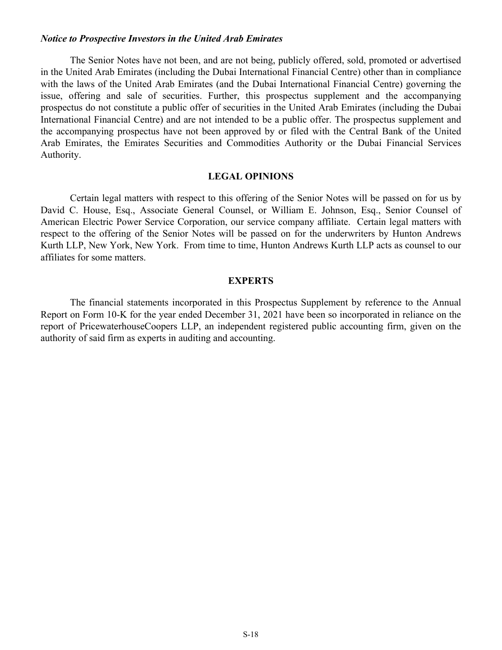#### <span id="page-17-0"></span>*Notice to Prospective Investors in the United Arab Emirates*

The Senior Notes have not been, and are not being, publicly offered, sold, promoted or advertised in the United Arab Emirates (including the Dubai International Financial Centre) other than in compliance with the laws of the United Arab Emirates (and the Dubai International Financial Centre) governing the issue, offering and sale of securities. Further, this prospectus supplement and the accompanying prospectus do not constitute a public offer of securities in the United Arab Emirates (including the Dubai International Financial Centre) and are not intended to be a public offer. The prospectus supplement and the accompanying prospectus have not been approved by or filed with the Central Bank of the United Arab Emirates, the Emirates Securities and Commodities Authority or the Dubai Financial Services Authority.

#### **LEGAL OPINIONS**

Certain legal matters with respect to this offering of the Senior Notes will be passed on for us by David C. House, Esq., Associate General Counsel, or William E. Johnson, Esq., Senior Counsel of American Electric Power Service Corporation, our service company affiliate. Certain legal matters with respect to the offering of the Senior Notes will be passed on for the underwriters by Hunton Andrews Kurth LLP, New York, New York. From time to time, Hunton Andrews Kurth LLP acts as counsel to our affiliates for some matters.

#### **EXPERTS**

The financial statements incorporated in this Prospectus Supplement by reference to the Annual Report on Form 10-K for the year ended December 31, 2021 have been so incorporated in reliance on the report of PricewaterhouseCoopers LLP, an independent registered public accounting firm, given on the authority of said firm as experts in auditing and accounting.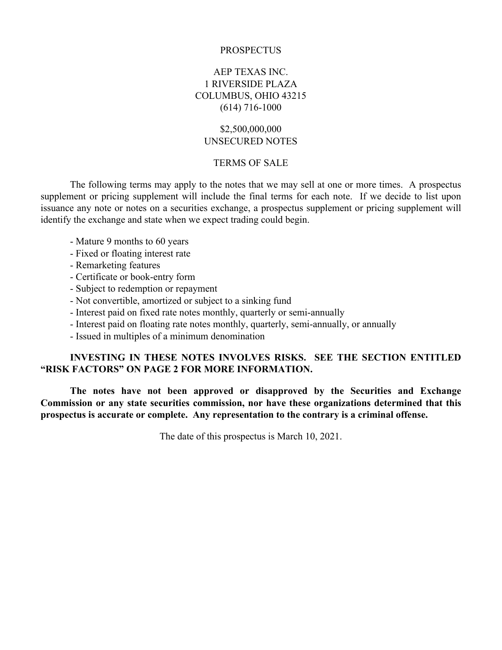#### **PROSPECTUS**

## AEP TEXAS INC. 1 RIVERSIDE PLAZA COLUMBUS, OHIO 43215 (614) 716-1000

## \$2,500,000,000 UNSECURED NOTES

#### TERMS OF SALE

The following terms may apply to the notes that we may sell at one or more times. A prospectus supplement or pricing supplement will include the final terms for each note. If we decide to list upon issuance any note or notes on a securities exchange, a prospectus supplement or pricing supplement will identify the exchange and state when we expect trading could begin.

- Mature 9 months to 60 years
- Fixed or floating interest rate
- Remarketing features
- Certificate or book-entry form
- Subject to redemption or repayment
- Not convertible, amortized or subject to a sinking fund
- Interest paid on fixed rate notes monthly, quarterly or semi-annually
- Interest paid on floating rate notes monthly, quarterly, semi-annually, or annually
- Issued in multiples of a minimum denomination

## **INVESTING IN THESE NOTES INVOLVES RISKS. SEE THE SECTION ENTITLED "RISK FACTORS" ON PAGE 2 FOR MORE INFORMATION.**

**The notes have not been approved or disapproved by the Securities and Exchange Commission or any state securities commission, nor have these organizations determined that this prospectus is accurate or complete. Any representation to the contrary is a criminal offense.**

The date of this prospectus is March 10, 2021.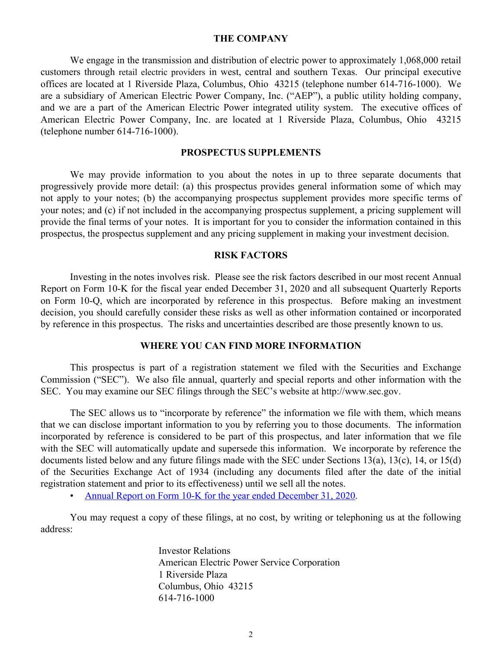#### **THE COMPANY**

<span id="page-19-0"></span>We engage in the transmission and distribution of electric power to approximately 1,068,000 retail customers through retail electric providers in west, central and southern Texas. Our principal executive offices are located at 1 Riverside Plaza, Columbus, Ohio 43215 (telephone number 614-716-1000). We are a subsidiary of American Electric Power Company, Inc. ("AEP"), a public utility holding company, and we are a part of the American Electric Power integrated utility system. The executive offices of American Electric Power Company, Inc. are located at 1 Riverside Plaza, Columbus, Ohio 43215 (telephone number 614-716-1000).

#### **PROSPECTUS SUPPLEMENTS**

We may provide information to you about the notes in up to three separate documents that progressively provide more detail: (a) this prospectus provides general information some of which may not apply to your notes; (b) the accompanying prospectus supplement provides more specific terms of your notes; and (c) if not included in the accompanying prospectus supplement, a pricing supplement will provide the final terms of your notes. It is important for you to consider the information contained in this prospectus, the prospectus supplement and any pricing supplement in making your investment decision.

#### **RISK FACTORS**

Investing in the notes involves risk. Please see the risk factors described in our most recent Annual Report on Form 10-K for the fiscal year ended December 31, 2020 and all subsequent Quarterly Reports on Form 10-Q, which are incorporated by reference in this prospectus. Before making an investment decision, you should carefully consider these risks as well as other information contained or incorporated by reference in this prospectus. The risks and uncertainties described are those presently known to us.

#### **WHERE YOU CAN FIND MORE INFORMATION**

This prospectus is part of a registration statement we filed with the Securities and Exchange Commission ("SEC"). We also file annual, quarterly and special reports and other information with the SEC. You may examine our SEC filings through the SEC's website at http://www.sec.gov.

The SEC allows us to "incorporate by reference" the information we file with them, which means that we can disclose important information to you by referring you to those documents. The information incorporated by reference is considered to be part of this prospectus, and later information that we file with the SEC will automatically update and supersede this information. We incorporate by reference the documents listed below and any future filings made with the SEC under Sections 13(a), 13(c), 14, or 15(d) of the Securities Exchange Act of 1934 (including any documents filed after the date of the initial registration statement and prior to its effectiveness) until we sell all the notes.

• [Annual Report on Form 10-K for the year ended December 31, 2020](https://www.sec.gov/ix?doc=/Archives/edgar/data/0001721781/000000490421000010/aep-20201231.htm).

You may request a copy of these filings, at no cost, by writing or telephoning us at the following address:

> Investor Relations American Electric Power Service Corporation 1 Riverside Plaza Columbus, Ohio 43215 614-716-1000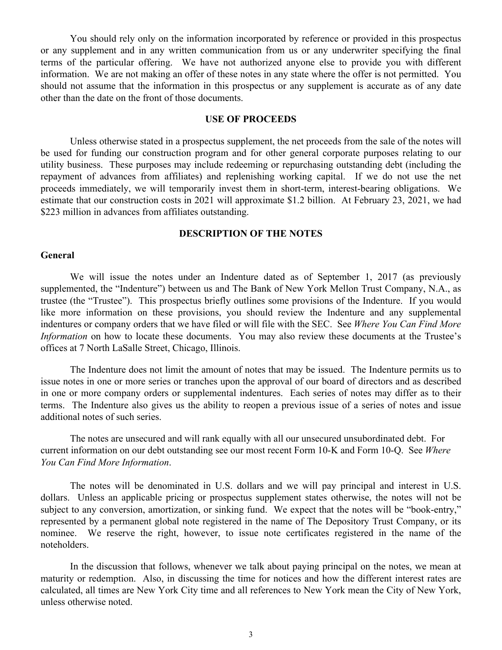You should rely only on the information incorporated by reference or provided in this prospectus or any supplement and in any written communication from us or any underwriter specifying the final terms of the particular offering. We have not authorized anyone else to provide you with different information. We are not making an offer of these notes in any state where the offer is not permitted. You should not assume that the information in this prospectus or any supplement is accurate as of any date other than the date on the front of those documents.

#### **USE OF PROCEEDS**

Unless otherwise stated in a prospectus supplement, the net proceeds from the sale of the notes will be used for funding our construction program and for other general corporate purposes relating to our utility business. These purposes may include redeeming or repurchasing outstanding debt (including the repayment of advances from affiliates) and replenishing working capital. If we do not use the net proceeds immediately, we will temporarily invest them in short-term, interest-bearing obligations. We estimate that our construction costs in 2021 will approximate \$1.2 billion. At February 23, 2021, we had \$223 million in advances from affiliates outstanding.

#### **DESCRIPTION OF THE NOTES**

#### **General**

We will issue the notes under an Indenture dated as of September 1, 2017 (as previously supplemented, the "Indenture") between us and The Bank of New York Mellon Trust Company, N.A., as trustee (the "Trustee"). This prospectus briefly outlines some provisions of the Indenture. If you would like more information on these provisions, you should review the Indenture and any supplemental indentures or company orders that we have filed or will file with the SEC. See *Where You Can Find More Information* on how to locate these documents. You may also review these documents at the Trustee's offices at 7 North LaSalle Street, Chicago, Illinois.

The Indenture does not limit the amount of notes that may be issued. The Indenture permits us to issue notes in one or more series or tranches upon the approval of our board of directors and as described in one or more company orders or supplemental indentures. Each series of notes may differ as to their terms. The Indenture also gives us the ability to reopen a previous issue of a series of notes and issue additional notes of such series.

The notes are unsecured and will rank equally with all our unsecured unsubordinated debt. For current information on our debt outstanding see our most recent Form 10-K and Form 10-Q. See *Where You Can Find More Information*.

The notes will be denominated in U.S. dollars and we will pay principal and interest in U.S. dollars. Unless an applicable pricing or prospectus supplement states otherwise, the notes will not be subject to any conversion, amortization, or sinking fund. We expect that the notes will be "book-entry," represented by a permanent global note registered in the name of The Depository Trust Company, or its nominee. We reserve the right, however, to issue note certificates registered in the name of the noteholders.

In the discussion that follows, whenever we talk about paying principal on the notes, we mean at maturity or redemption. Also, in discussing the time for notices and how the different interest rates are calculated, all times are New York City time and all references to New York mean the City of New York, unless otherwise noted.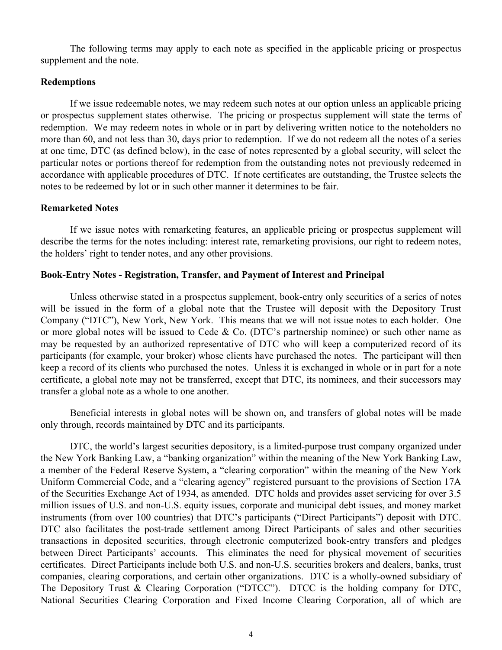The following terms may apply to each note as specified in the applicable pricing or prospectus supplement and the note.

### **Redemptions**

If we issue redeemable notes, we may redeem such notes at our option unless an applicable pricing or prospectus supplement states otherwise. The pricing or prospectus supplement will state the terms of redemption. We may redeem notes in whole or in part by delivering written notice to the noteholders no more than 60, and not less than 30, days prior to redemption. If we do not redeem all the notes of a series at one time, DTC (as defined below), in the case of notes represented by a global security, will select the particular notes or portions thereof for redemption from the outstanding notes not previously redeemed in accordance with applicable procedures of DTC. If note certificates are outstanding, the Trustee selects the notes to be redeemed by lot or in such other manner it determines to be fair.

#### **Remarketed Notes**

If we issue notes with remarketing features, an applicable pricing or prospectus supplement will describe the terms for the notes including: interest rate, remarketing provisions, our right to redeem notes, the holders' right to tender notes, and any other provisions.

#### **Book-Entry Notes - Registration, Transfer, and Payment of Interest and Principal**

Unless otherwise stated in a prospectus supplement, book-entry only securities of a series of notes will be issued in the form of a global note that the Trustee will deposit with the Depository Trust Company ("DTC"), New York, New York. This means that we will not issue notes to each holder. One or more global notes will be issued to Cede & Co. (DTC's partnership nominee) or such other name as may be requested by an authorized representative of DTC who will keep a computerized record of its participants (for example, your broker) whose clients have purchased the notes. The participant will then keep a record of its clients who purchased the notes. Unless it is exchanged in whole or in part for a note certificate, a global note may not be transferred, except that DTC, its nominees, and their successors may transfer a global note as a whole to one another.

Beneficial interests in global notes will be shown on, and transfers of global notes will be made only through, records maintained by DTC and its participants.

DTC, the world's largest securities depository, is a limited-purpose trust company organized under the New York Banking Law, a "banking organization" within the meaning of the New York Banking Law, a member of the Federal Reserve System, a "clearing corporation" within the meaning of the New York Uniform Commercial Code, and a "clearing agency" registered pursuant to the provisions of Section 17A of the Securities Exchange Act of 1934, as amended. DTC holds and provides asset servicing for over 3.5 million issues of U.S. and non-U.S. equity issues, corporate and municipal debt issues, and money market instruments (from over 100 countries) that DTC's participants ("Direct Participants") deposit with DTC. DTC also facilitates the post-trade settlement among Direct Participants of sales and other securities transactions in deposited securities, through electronic computerized book-entry transfers and pledges between Direct Participants' accounts. This eliminates the need for physical movement of securities certificates. Direct Participants include both U.S. and non-U.S. securities brokers and dealers, banks, trust companies, clearing corporations, and certain other organizations. DTC is a wholly-owned subsidiary of The Depository Trust & Clearing Corporation ("DTCC"). DTCC is the holding company for DTC, National Securities Clearing Corporation and Fixed Income Clearing Corporation, all of which are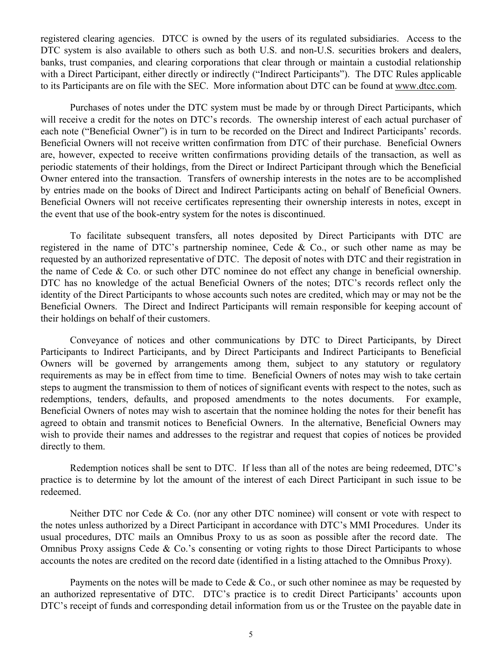registered clearing agencies. DTCC is owned by the users of its regulated subsidiaries. Access to the DTC system is also available to others such as both U.S. and non-U.S. securities brokers and dealers, banks, trust companies, and clearing corporations that clear through or maintain a custodial relationship with a Direct Participant, either directly or indirectly ("Indirect Participants"). The DTC Rules applicable to its Participants are on file with the SEC. More information about DTC can be found at www.dtcc.com.

Purchases of notes under the DTC system must be made by or through Direct Participants, which will receive a credit for the notes on DTC's records. The ownership interest of each actual purchaser of each note ("Beneficial Owner") is in turn to be recorded on the Direct and Indirect Participants' records. Beneficial Owners will not receive written confirmation from DTC of their purchase. Beneficial Owners are, however, expected to receive written confirmations providing details of the transaction, as well as periodic statements of their holdings, from the Direct or Indirect Participant through which the Beneficial Owner entered into the transaction. Transfers of ownership interests in the notes are to be accomplished by entries made on the books of Direct and Indirect Participants acting on behalf of Beneficial Owners. Beneficial Owners will not receive certificates representing their ownership interests in notes, except in the event that use of the book-entry system for the notes is discontinued.

To facilitate subsequent transfers, all notes deposited by Direct Participants with DTC are registered in the name of DTC's partnership nominee, Cede & Co., or such other name as may be requested by an authorized representative of DTC. The deposit of notes with DTC and their registration in the name of Cede & Co. or such other DTC nominee do not effect any change in beneficial ownership. DTC has no knowledge of the actual Beneficial Owners of the notes; DTC's records reflect only the identity of the Direct Participants to whose accounts such notes are credited, which may or may not be the Beneficial Owners. The Direct and Indirect Participants will remain responsible for keeping account of their holdings on behalf of their customers.

Conveyance of notices and other communications by DTC to Direct Participants, by Direct Participants to Indirect Participants, and by Direct Participants and Indirect Participants to Beneficial Owners will be governed by arrangements among them, subject to any statutory or regulatory requirements as may be in effect from time to time. Beneficial Owners of notes may wish to take certain steps to augment the transmission to them of notices of significant events with respect to the notes, such as redemptions, tenders, defaults, and proposed amendments to the notes documents. For example, Beneficial Owners of notes may wish to ascertain that the nominee holding the notes for their benefit has agreed to obtain and transmit notices to Beneficial Owners. In the alternative, Beneficial Owners may wish to provide their names and addresses to the registrar and request that copies of notices be provided directly to them.

Redemption notices shall be sent to DTC. If less than all of the notes are being redeemed, DTC's practice is to determine by lot the amount of the interest of each Direct Participant in such issue to be redeemed.

Neither DTC nor Cede & Co. (nor any other DTC nominee) will consent or vote with respect to the notes unless authorized by a Direct Participant in accordance with DTC's MMI Procedures. Under its usual procedures, DTC mails an Omnibus Proxy to us as soon as possible after the record date. The Omnibus Proxy assigns Cede & Co.'s consenting or voting rights to those Direct Participants to whose accounts the notes are credited on the record date (identified in a listing attached to the Omnibus Proxy).

Payments on the notes will be made to Cede & Co., or such other nominee as may be requested by an authorized representative of DTC. DTC's practice is to credit Direct Participants' accounts upon DTC's receipt of funds and corresponding detail information from us or the Trustee on the payable date in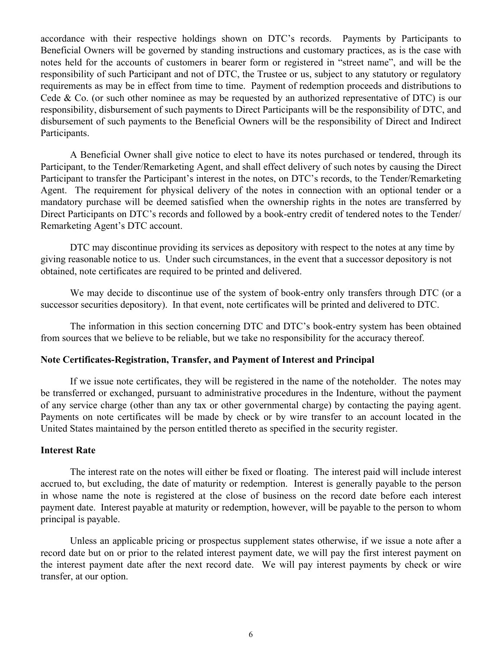accordance with their respective holdings shown on DTC's records. Payments by Participants to Beneficial Owners will be governed by standing instructions and customary practices, as is the case with notes held for the accounts of customers in bearer form or registered in "street name", and will be the responsibility of such Participant and not of DTC, the Trustee or us, subject to any statutory or regulatory requirements as may be in effect from time to time. Payment of redemption proceeds and distributions to Cede & Co. (or such other nominee as may be requested by an authorized representative of DTC) is our responsibility, disbursement of such payments to Direct Participants will be the responsibility of DTC, and disbursement of such payments to the Beneficial Owners will be the responsibility of Direct and Indirect Participants.

A Beneficial Owner shall give notice to elect to have its notes purchased or tendered, through its Participant, to the Tender/Remarketing Agent, and shall effect delivery of such notes by causing the Direct Participant to transfer the Participant's interest in the notes, on DTC's records, to the Tender/Remarketing Agent. The requirement for physical delivery of the notes in connection with an optional tender or a mandatory purchase will be deemed satisfied when the ownership rights in the notes are transferred by Direct Participants on DTC's records and followed by a book-entry credit of tendered notes to the Tender/ Remarketing Agent's DTC account.

DTC may discontinue providing its services as depository with respect to the notes at any time by giving reasonable notice to us. Under such circumstances, in the event that a successor depository is not obtained, note certificates are required to be printed and delivered.

We may decide to discontinue use of the system of book-entry only transfers through DTC (or a successor securities depository). In that event, note certificates will be printed and delivered to DTC.

The information in this section concerning DTC and DTC's book-entry system has been obtained from sources that we believe to be reliable, but we take no responsibility for the accuracy thereof.

#### **Note Certificates-Registration, Transfer, and Payment of Interest and Principal**

If we issue note certificates, they will be registered in the name of the noteholder. The notes may be transferred or exchanged, pursuant to administrative procedures in the Indenture, without the payment of any service charge (other than any tax or other governmental charge) by contacting the paying agent. Payments on note certificates will be made by check or by wire transfer to an account located in the United States maintained by the person entitled thereto as specified in the security register.

#### **Interest Rate**

The interest rate on the notes will either be fixed or floating. The interest paid will include interest accrued to, but excluding, the date of maturity or redemption. Interest is generally payable to the person in whose name the note is registered at the close of business on the record date before each interest payment date. Interest payable at maturity or redemption, however, will be payable to the person to whom principal is payable.

Unless an applicable pricing or prospectus supplement states otherwise, if we issue a note after a record date but on or prior to the related interest payment date, we will pay the first interest payment on the interest payment date after the next record date. We will pay interest payments by check or wire transfer, at our option.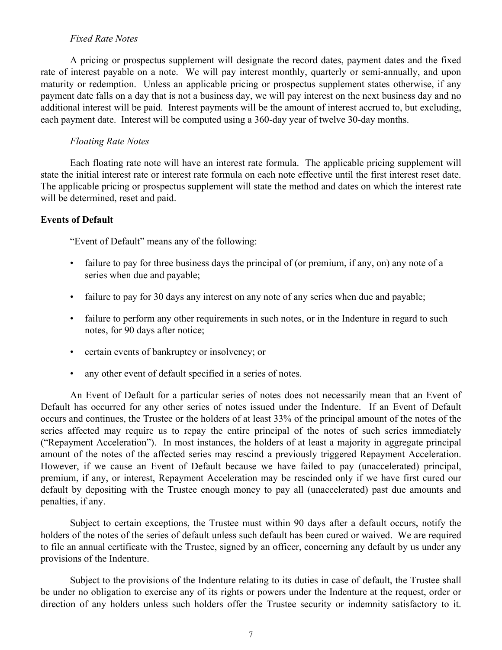### *Fixed Rate Notes*

A pricing or prospectus supplement will designate the record dates, payment dates and the fixed rate of interest payable on a note. We will pay interest monthly, quarterly or semi-annually, and upon maturity or redemption. Unless an applicable pricing or prospectus supplement states otherwise, if any payment date falls on a day that is not a business day, we will pay interest on the next business day and no additional interest will be paid. Interest payments will be the amount of interest accrued to, but excluding, each payment date. Interest will be computed using a 360-day year of twelve 30-day months.

#### *Floating Rate Notes*

Each floating rate note will have an interest rate formula. The applicable pricing supplement will state the initial interest rate or interest rate formula on each note effective until the first interest reset date. The applicable pricing or prospectus supplement will state the method and dates on which the interest rate will be determined, reset and paid.

## **Events of Default**

"Event of Default" means any of the following:

- failure to pay for three business days the principal of (or premium, if any, on) any note of a series when due and payable;
- failure to pay for 30 days any interest on any note of any series when due and payable;
- failure to perform any other requirements in such notes, or in the Indenture in regard to such notes, for 90 days after notice;
- certain events of bankruptcy or insolvency; or
- any other event of default specified in a series of notes.

An Event of Default for a particular series of notes does not necessarily mean that an Event of Default has occurred for any other series of notes issued under the Indenture. If an Event of Default occurs and continues, the Trustee or the holders of at least 33% of the principal amount of the notes of the series affected may require us to repay the entire principal of the notes of such series immediately ("Repayment Acceleration"). In most instances, the holders of at least a majority in aggregate principal amount of the notes of the affected series may rescind a previously triggered Repayment Acceleration. However, if we cause an Event of Default because we have failed to pay (unaccelerated) principal, premium, if any, or interest, Repayment Acceleration may be rescinded only if we have first cured our default by depositing with the Trustee enough money to pay all (unaccelerated) past due amounts and penalties, if any.

Subject to certain exceptions, the Trustee must within 90 days after a default occurs, notify the holders of the notes of the series of default unless such default has been cured or waived. We are required to file an annual certificate with the Trustee, signed by an officer, concerning any default by us under any provisions of the Indenture.

Subject to the provisions of the Indenture relating to its duties in case of default, the Trustee shall be under no obligation to exercise any of its rights or powers under the Indenture at the request, order or direction of any holders unless such holders offer the Trustee security or indemnity satisfactory to it.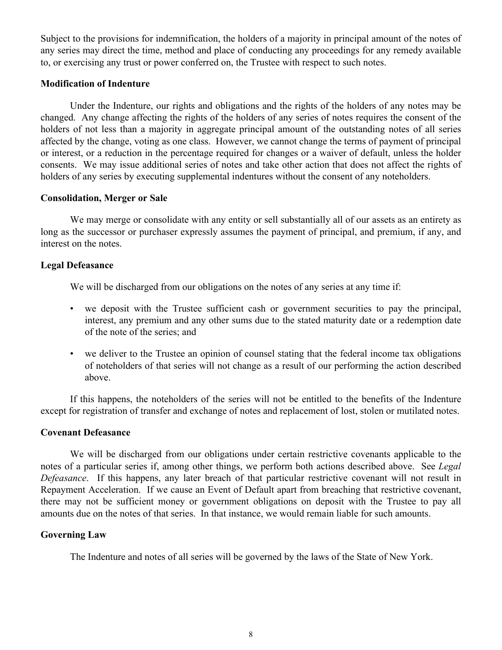Subject to the provisions for indemnification, the holders of a majority in principal amount of the notes of any series may direct the time, method and place of conducting any proceedings for any remedy available to, or exercising any trust or power conferred on, the Trustee with respect to such notes.

### **Modification of Indenture**

Under the Indenture, our rights and obligations and the rights of the holders of any notes may be changed. Any change affecting the rights of the holders of any series of notes requires the consent of the holders of not less than a majority in aggregate principal amount of the outstanding notes of all series affected by the change, voting as one class. However, we cannot change the terms of payment of principal or interest, or a reduction in the percentage required for changes or a waiver of default, unless the holder consents. We may issue additional series of notes and take other action that does not affect the rights of holders of any series by executing supplemental indentures without the consent of any noteholders.

#### **Consolidation, Merger or Sale**

We may merge or consolidate with any entity or sell substantially all of our assets as an entirety as long as the successor or purchaser expressly assumes the payment of principal, and premium, if any, and interest on the notes.

#### **Legal Defeasance**

We will be discharged from our obligations on the notes of any series at any time if:

- we deposit with the Trustee sufficient cash or government securities to pay the principal, interest, any premium and any other sums due to the stated maturity date or a redemption date of the note of the series; and
- we deliver to the Trustee an opinion of counsel stating that the federal income tax obligations of noteholders of that series will not change as a result of our performing the action described above.

If this happens, the noteholders of the series will not be entitled to the benefits of the Indenture except for registration of transfer and exchange of notes and replacement of lost, stolen or mutilated notes.

#### **Covenant Defeasance**

We will be discharged from our obligations under certain restrictive covenants applicable to the notes of a particular series if, among other things, we perform both actions described above. See *Legal Defeasance*. If this happens, any later breach of that particular restrictive covenant will not result in Repayment Acceleration. If we cause an Event of Default apart from breaching that restrictive covenant, there may not be sufficient money or government obligations on deposit with the Trustee to pay all amounts due on the notes of that series. In that instance, we would remain liable for such amounts.

## **Governing Law**

The Indenture and notes of all series will be governed by the laws of the State of New York.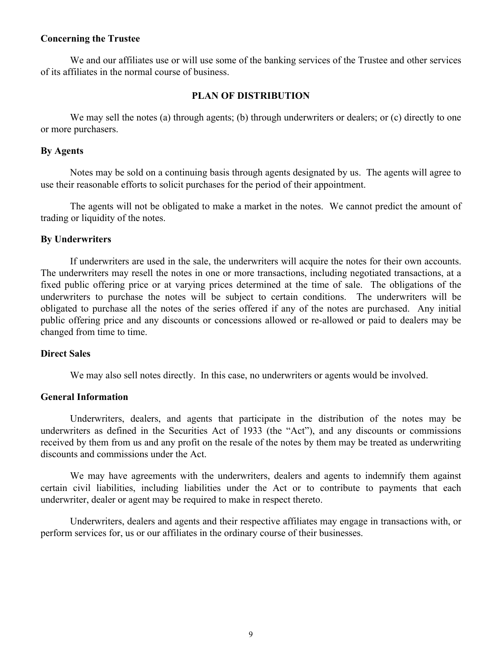#### **Concerning the Trustee**

We and our affiliates use or will use some of the banking services of the Trustee and other services of its affiliates in the normal course of business.

#### **PLAN OF DISTRIBUTION**

We may sell the notes (a) through agents; (b) through underwriters or dealers; or (c) directly to one or more purchasers.

#### **By Agents**

Notes may be sold on a continuing basis through agents designated by us. The agents will agree to use their reasonable efforts to solicit purchases for the period of their appointment.

The agents will not be obligated to make a market in the notes. We cannot predict the amount of trading or liquidity of the notes.

#### **By Underwriters**

If underwriters are used in the sale, the underwriters will acquire the notes for their own accounts. The underwriters may resell the notes in one or more transactions, including negotiated transactions, at a fixed public offering price or at varying prices determined at the time of sale. The obligations of the underwriters to purchase the notes will be subject to certain conditions. The underwriters will be obligated to purchase all the notes of the series offered if any of the notes are purchased. Any initial public offering price and any discounts or concessions allowed or re-allowed or paid to dealers may be changed from time to time.

## **Direct Sales**

We may also sell notes directly. In this case, no underwriters or agents would be involved.

#### **General Information**

Underwriters, dealers, and agents that participate in the distribution of the notes may be underwriters as defined in the Securities Act of 1933 (the "Act"), and any discounts or commissions received by them from us and any profit on the resale of the notes by them may be treated as underwriting discounts and commissions under the Act.

We may have agreements with the underwriters, dealers and agents to indemnify them against certain civil liabilities, including liabilities under the Act or to contribute to payments that each underwriter, dealer or agent may be required to make in respect thereto.

Underwriters, dealers and agents and their respective affiliates may engage in transactions with, or perform services for, us or our affiliates in the ordinary course of their businesses.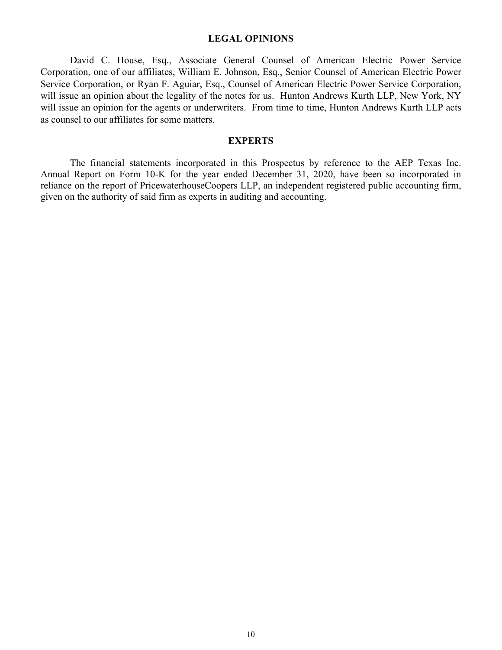#### **LEGAL OPINIONS**

David C. House, Esq., Associate General Counsel of American Electric Power Service Corporation, one of our affiliates, William E. Johnson, Esq., Senior Counsel of American Electric Power Service Corporation, or Ryan F. Aguiar, Esq., Counsel of American Electric Power Service Corporation, will issue an opinion about the legality of the notes for us. Hunton Andrews Kurth LLP, New York, NY will issue an opinion for the agents or underwriters. From time to time, Hunton Andrews Kurth LLP acts as counsel to our affiliates for some matters.

## **EXPERTS**

The financial statements incorporated in this Prospectus by reference to the AEP Texas Inc. Annual Report on Form 10-K for the year ended December 31, 2020, have been so incorporated in reliance on the report of PricewaterhouseCoopers LLP, an independent registered public accounting firm, given on the authority of said firm as experts in auditing and accounting.